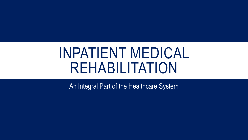# INPATIENT MEDICAL REHABILITATION

An Integral Part of the Healthcare System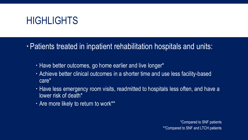#### **HIGHLIGHTS**

Patients treated in inpatient rehabilitation hospitals and units:

- Have better outcomes, go home earlier and live longer\*
- Achieve better clinical outcomes in a shorter time and use less facility-based care\*
- Have less emergency room visits, readmitted to hospitals less often, and have a lower risk of death\*
- Are more likely to return to work\*\*

\*Compared to SNF patients \*\*Compared to SNF and LTCH patients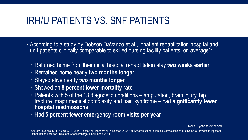## IRH/U PATIENTS VS. SNF PATIENTS

- According to a study by Dobson DaVanzo et al., inpatient rehabilitation hospital and unit patients clinically comparable to skilled nursing facility patients, on average<sup>\*</sup>:
	- Returned home from their initial hospital rehabilitation stay **two weeks earlier**
	- Remained home nearly **two months longer**
	- Stayed alive nearly **two months longer**
	- Showed an **8 percent lower mortality rate**
	- Patients with 5 of the 13 diagnostic conditions amputation, brain injury, hip fracture, major medical complexity and pain syndrome – had **significantly fewer hospital readmissions**
	- Had **5 percent fewer emergency room visits per year**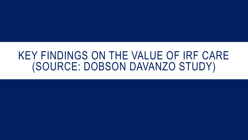# KEY FINDINGS ON THE VALUE OF IRF CARE (SOURCE: DOBSON DAVANZO STUDY)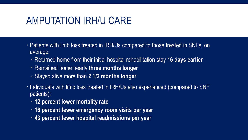#### AMPUTATION IRH/U CARE

- Patients with limb loss treated in IRH/Us compared to those treated in SNFs, on average:
	- Returned home from their initial hospital rehabilitation stay **16 days earlier**
	- Remained home nearly **three months longer**
	- Stayed alive more than **2 1/2 months longer**
- Individuals with limb loss treated in IRH/Us also experienced (compared to SNF patients):
	- **12 percent lower mortality rate**
	- **16 percent fewer emergency room visits per year**
	- **43 percent fewer hospital readmissions per year**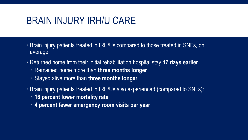#### BRAIN INJURY IRH/U CARE

- Brain injury patients treated in IRH/Us compared to those treated in SNFs, on average:
- Returned home from their initial rehabilitation hospital stay **17 days earlier**
	- Remained home more than **three months longer**
	- Stayed alive more than **three months longer**
- Brain injury patients treated in IRH/Us also experienced (compared to SNFs):
	- **16 percent lower mortality rate**
	- **4 percent fewer emergency room visits per year**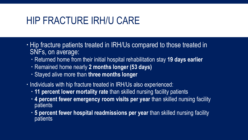#### HIP FRACTURE IRH/U CARE

- . Hip fracture patients treated in IRH/Us compared to those treated in SNFs, on average:
	- Returned home from their initial hospital rehabilitation stay **19 days earlier**
	- Remained home nearly **2 months longer (53 days)**
	- Stayed alive more than **three months longer**
- Individuals with hip fracture treated in IRH/Us also experienced:
	- **11 percent lower mortality rate** than skilled nursing facility patients
	- **4 percent fewer emergency room visits per year** than skilled nursing facility **patients**
	- **5 percent fewer hospital readmissions per year** than skilled nursing facility patients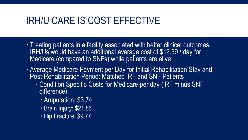#### IRH/U CARE IS COST EFFECTIVE

- Treating patients in a facility associated with better clinical outcomes, IRH/Us would have an additional average cost of \$12.59 / day for Medicare (compared to SNFs) while patients are alive
- Average Medicare Payment per Day for Initial Rehabilitation Stay and Post-Rehabilitation Period: Matched IRF and SNF Patients
	- Condition Specific Costs for Medicare per day (IRF minus SNF difference):
		- Amputation: \$3.74
		- Brain Injury: \$21.86
		- Hip Fracture: \$9.77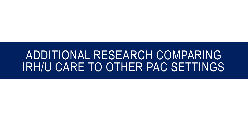# ADDITIONAL RESEARCH COMPARING IRH/U CARE TO OTHER PAC SETTINGS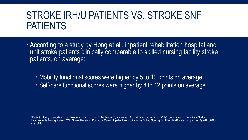## STROKE IRH/U PATIENTS VS. STROKE SNF PATIENTS

- According to a study by Hong et al., inpatient rehabilitation hospital and unit stroke patients clinically comparable to skilled nursing facility stroke patients, on average:
	- Mobility functional scores were higher by 5 to 10 points on average
	- Self-care functional scores were higher by 8 to 12 points on average

Source: Hong, I., Goodwin, J. S., Reistetter, T. A., Kuo, Y. F., Mallinson, T., Karmarkar, A., ... & Ottenbacher, K. J. (2019). Comparison of Functional Status Improvements Among Patients With Stroke Receiving Postacute Care in Inpatient Rehabilitation vs Skilled Nursing Facilities. JAMA network open, 2(12), e1916646e1916646.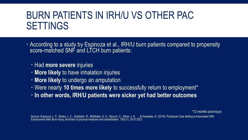## BURN PATIENTS IN IRH/U VS OTHER PAC SETTINGS

 According to a study by Espinoza et al., IRH/U burn patients compared to propensity score-matched SNF and LTCH burn patients:

Had **more severe** injuries

- **More likely** to have inhalation injuries
- **More likely** to undergo an amputation
- Were nearly **10 times more likely** to successfully return to employment\*
- **In other words, IRH/U patients were sicker yet had better outcomes**

\*12 months post-injury

Source: Espinoza, L. F., Simko, L. C., Goldstein, R., McMullen, K. A., Slocum, C., Silver, J. K., ... & Kowalske, K. (2019). Postacute Care Setting Is Associated With Employment After Burn Injury. Archives of physical medicine and rehabilitation, 100(11), 2015-2021.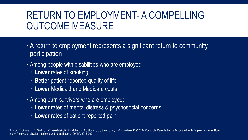# RETURN TO EMPLOYMENT- A COMPELLING OUTCOME MEASURE

- A return to employment represents a significant return to community participation
- Among people with disabilities who are employed:
	- **Lower** rates of smoking
	- **Better** patient-reported quality of life
	- **Lower** Medicaid and Medicare costs
- Among burn survivors who are employed:
	- **Lower** rates of mental distress & psychosocial concerns
	- **Lower** rates of patient-reported pain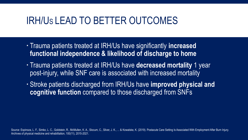#### IRH/US LEAD TO BETTER OUTCOMES

- Trauma patients treated at IRH/Us have significantly **increased functional independence & likelihood of discharge to home**
- Trauma patients treated at IRH/Us have **decreased mortality** 1 year post-injury, while SNF care is associated with increased mortality
- Stroke patients discharged from IRH/Us have **improved physical and cognitive function** compared to those discharged from SNFs

Source: Espinoza, L. F., Simko, L. C., Goldstein, R., McMullen, K. A., Slocum, C., Silver, J. K., ... & Kowalske, K. (2019). Postacute Care Setting Is Associated With Employment After Burn Injury. Archives of physical medicine and rehabilitation, 100(11), 2015-2021.